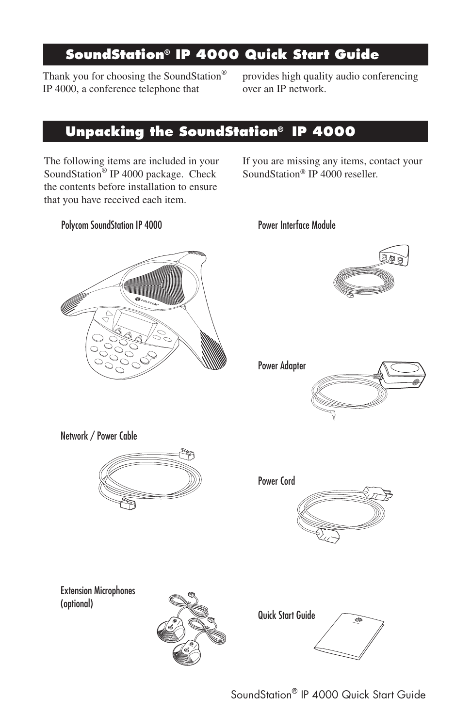## **SoundStation® IP 4000 Quick Start Guide**

Thank you for choosing the SoundStation® IP 4000, a conference telephone that

provides high quality audio conferencing over an IP network.

## **Unpacking the SoundStation® IP 4000**

The following items are included in your SoundStation® IP 4000 package. Check the contents before installation to ensure that you have received each item.

If you are missing any items, contact your SoundStation® IP 4000 reseller.

#### Polycom SoundStation IP 4000 Power Interface Module









Power Cord



Extension Microphones (optional)





SoundStation® IP 4000 Quick Start Guide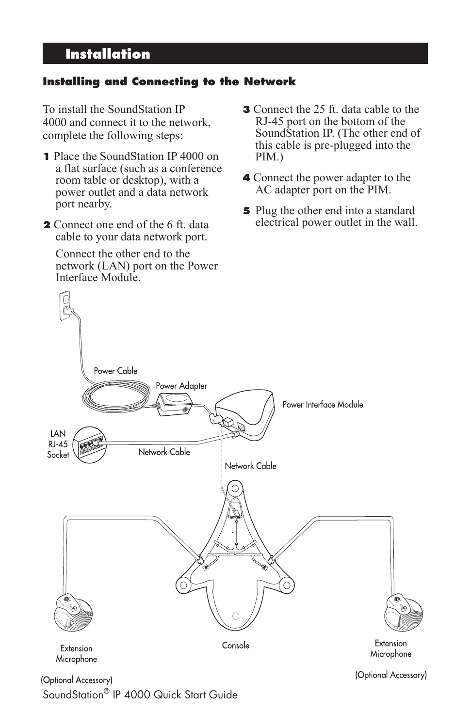# **Installation**

### **Installing and Connecting to the Network**

To install the SoundStation IP 4000 and connect it to the network, complete the following steps:

- **1** Place the SoundStation IP 4000 on a flat surface (such as a conference room table or desktop), with a power outlet and a data network port nearby.
- **2** Connect one end of the 6 ft. data cable to your data network port.

 Connect the other end to the network (LAN) port on the Power Interface Module.

- **3** Connect the 25 ft. data cable to the RJ-45 port on the bottom of the SoundStation IP. (The other end of this cable is pre-plugged into the PIM.)
- **4** Connect the power adapter to the AC adapter port on the PIM.
- **5** Plug the other end into a standard electrical power outlet in the wall.



SoundStation® IP 4000 Quick Start Guide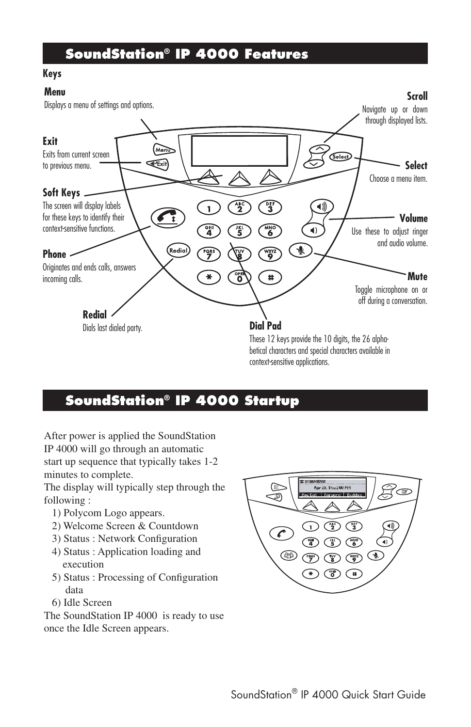### **SoundStation® IP 4000 Features**

#### **Keys**

#### **Menu**



### **SoundStation® IP 4000 Startup**

After power is applied the SoundStation IP 4000 will go through an automatic start up sequence that typically takes 1-2 minutes to complete.

The display will typically step through the following :

- 1) Polycom Logo appears.
- 2) Welcome Screen & Countdown
- 3) Status : Network Configuration
- 4) Status : Application loading and execution
- 5) Status : Processing of Configuration data
- 6) Idle Screen

The SoundStation IP 4000 is ready to use once the Idle Screen appears.